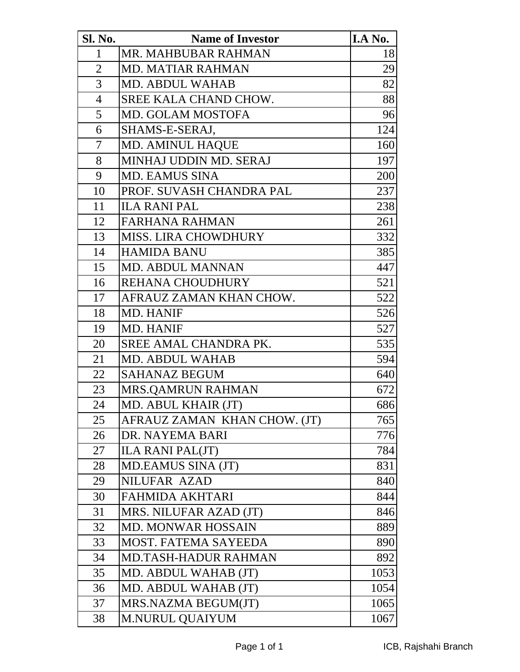| <b>Sl. No.</b> | <b>Name of Investor</b>      | I.A No. |
|----------------|------------------------------|---------|
| $\mathbf{1}$   | MR. MAHBUBAR RAHMAN          | 18      |
| $\overline{2}$ | <b>MD. MATIAR RAHMAN</b>     | 29      |
| 3              | <b>MD. ABDUL WAHAB</b>       | 82      |
| $\overline{4}$ | SREE KALA CHAND CHOW.        | 88      |
| 5              | <b>MD. GOLAM MOSTOFA</b>     | 96      |
| 6              | SHAMS-E-SERAJ,               | 124     |
| $\tau$         | <b>MD. AMINUL HAQUE</b>      | 160     |
| 8              | MINHAJ UDDIN MD. SERAJ       | 197     |
| 9              | <b>MD. EAMUS SINA</b>        | 200     |
| 10             | PROF. SUVASH CHANDRA PAL     | 237     |
| 11             | <b>ILA RANI PAL</b>          | 238     |
| 12             | <b>FARHANA RAHMAN</b>        | 261     |
| 13             | <b>MISS. LIRA CHOWDHURY</b>  | 332     |
| 14             | <b>HAMIDA BANU</b>           | 385     |
| 15             | <b>MD. ABDUL MANNAN</b>      | 447     |
| 16             | <b>REHANA CHOUDHURY</b>      | 521     |
| 17             | AFRAUZ ZAMAN KHAN CHOW.      | 522     |
| 18             | <b>MD. HANIF</b>             | 526     |
| 19             | <b>MD. HANIF</b>             | 527     |
| 20             | SREE AMAL CHANDRA PK.        | 535     |
| 21             | <b>MD. ABDUL WAHAB</b>       | 594     |
| 22             | <b>SAHANAZ BEGUM</b>         | 640     |
| 23             | <b>MRS.QAMRUN RAHMAN</b>     | 672     |
| 24             | MD. ABUL KHAIR (JT)          | 686     |
| 25             | AFRAUZ ZAMAN KHAN CHOW. (JT) | 765     |
| 26             | DR. NAYEMA BARI              | 776     |
| 27             | <b>ILA RANI PAL(JT)</b>      | 784     |
| 28             | MD.EAMUS SINA (JT)           | 831     |
| 29             | NILUFAR AZAD                 | 840     |
| 30             | <b>FAHMIDA AKHTARI</b>       | 844     |
| 31             | MRS. NILUFAR AZAD (JT)       | 846     |
| 32             | <b>MD. MONWAR HOSSAIN</b>    | 889     |
| 33             | MOST. FATEMA SAYEEDA         | 890     |
| 34             | <b>MD.TASH-HADUR RAHMAN</b>  | 892     |
| 35             | MD. ABDUL WAHAB (JT)         | 1053    |
| 36             | MD. ABDUL WAHAB (JT)         | 1054    |
| 37             | MRS.NAZMA BEGUM(JT)          | 1065    |
| 38             | <b>M.NURUL QUAIYUM</b>       | 1067    |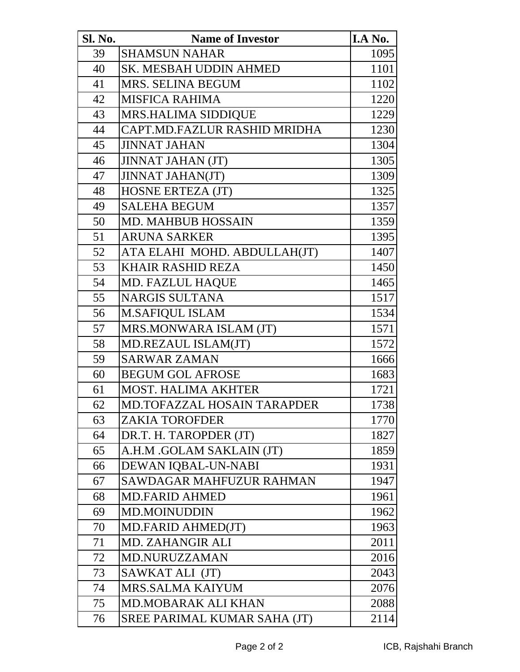| Sl. No. | <b>Name of Investor</b>            | I.A No. |
|---------|------------------------------------|---------|
| 39      | <b>SHAMSUN NAHAR</b>               | 1095    |
| 40      | <b>SK. MESBAH UDDIN AHMED</b>      | 1101    |
| 41      | <b>MRS. SELINA BEGUM</b>           | 1102    |
| 42      | <b>MISFICA RAHIMA</b>              | 1220    |
| 43      | <b>MRS.HALIMA SIDDIQUE</b>         | 1229    |
| 44      | CAPT.MD.FAZLUR RASHID MRIDHA       | 1230    |
| 45      | <b>JINNAT JAHAN</b>                | 1304    |
| 46      | <b>JINNAT JAHAN (JT)</b>           | 1305    |
| 47      | <b>JINNAT JAHAN(JT)</b>            | 1309    |
| 48      | <b>HOSNE ERTEZA (JT)</b>           | 1325    |
| 49      | <b>SALEHA BEGUM</b>                | 1357    |
| 50      | <b>MD. MAHBUB HOSSAIN</b>          | 1359    |
| 51      | <b>ARUNA SARKER</b>                | 1395    |
| 52      | ATA ELAHI MOHD. ABDULLAH(JT)       | 1407    |
| 53      | <b>KHAIR RASHID REZA</b>           | 1450    |
| 54      | <b>MD. FAZLUL HAQUE</b>            | 1465    |
| 55      | <b>NARGIS SULTANA</b>              | 1517    |
| 56      | <b>M.SAFIQUL ISLAM</b>             | 1534    |
| 57      | MRS.MONWARA ISLAM (JT)             | 1571    |
| 58      | MD.REZAUL ISLAM(JT)                | 1572    |
| 59      | <b>SARWAR ZAMAN</b>                | 1666    |
| 60      | <b>BEGUM GOL AFROSE</b>            | 1683    |
| 61      | <b>MOST. HALIMA AKHTER</b>         | 1721    |
| 62      | <b>MD.TOFAZZAL HOSAIN TARAPDER</b> | 1738    |
| 63      | <b>ZAKIA TOROFDER</b>              | 1770    |
| 64      | DR.T. H. TAROPDER (JT)             | 1827    |
| 65      | A.H.M .GOLAM SAKLAIN (JT)          | 1859    |
| 66      | DEWAN IQBAL-UN-NABI                | 1931    |
| 67      | SAWDAGAR MAHFUZUR RAHMAN           | 1947    |
| 68      | <b>MD.FARID AHMED</b>              | 1961    |
| 69      | <b>MD.MOINUDDIN</b>                | 1962    |
| 70      | MD.FARID AHMED(JT)                 | 1963    |
| 71      | <b>MD. ZAHANGIR ALI</b>            | 2011    |
| 72      | <b>MD.NURUZZAMAN</b>               | 2016    |
| 73      | SAWKAT ALI (JT)                    | 2043    |
| 74      | <b>MRS.SALMA KAIYUM</b>            | 2076    |
| 75      | <b>MD.MOBARAK ALI KHAN</b>         | 2088    |
| 76      | SREE PARIMAL KUMAR SAHA (JT)       | 2114    |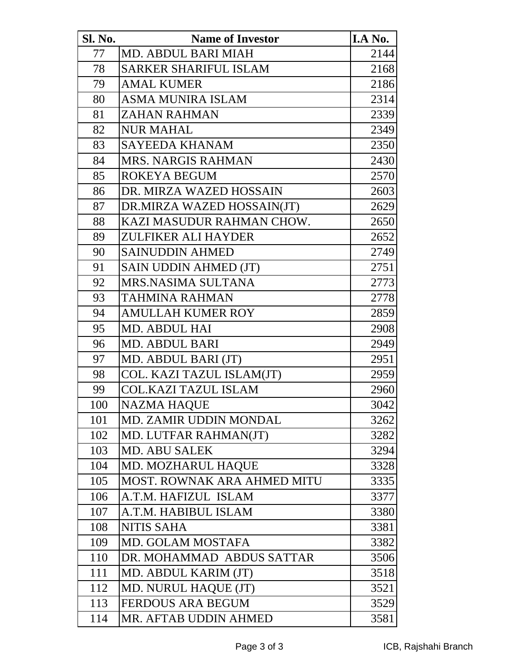| <b>Sl. No.</b> | <b>Name of Investor</b>       | I.A No. |
|----------------|-------------------------------|---------|
| 77             | MD. ABDUL BARI MIAH           | 2144    |
| 78             | <b>SARKER SHARIFUL ISLAM</b>  | 2168    |
| 79             | <b>AMAL KUMER</b>             | 2186    |
| 80             | <b>ASMA MUNIRA ISLAM</b>      | 2314    |
| 81             | <b>ZAHAN RAHMAN</b>           | 2339    |
| 82             | <b>NUR MAHAL</b>              | 2349    |
| 83             | <b>SAYEEDA KHANAM</b>         | 2350    |
| 84             | <b>MRS. NARGIS RAHMAN</b>     | 2430    |
| 85             | ROKEYA BEGUM                  | 2570    |
| 86             | DR. MIRZA WAZED HOSSAIN       | 2603    |
| 87             | DR.MIRZA WAZED HOSSAIN(JT)    | 2629    |
| 88             | KAZI MASUDUR RAHMAN CHOW.     | 2650    |
| 89             | <b>ZULFIKER ALI HAYDER</b>    | 2652    |
| 90             | <b>SAINUDDIN AHMED</b>        | 2749    |
| 91             | SAIN UDDIN AHMED (JT)         | 2751    |
| 92             | MRS.NASIMA SULTANA            | 2773    |
| 93             | <b>TAHMINA RAHMAN</b>         | 2778    |
| 94             | <b>AMULLAH KUMER ROY</b>      | 2859    |
| 95             | <b>MD. ABDUL HAI</b>          | 2908    |
| 96             | <b>MD. ABDUL BARI</b>         | 2949    |
| 97             | MD. ABDUL BARI (JT)           | 2951    |
| 98             | COL. KAZI TAZUL ISLAM(JT)     | 2959    |
| 99             | <b>COL.KAZI TAZUL ISLAM</b>   | 2960    |
| 100            | <b>NAZMA HAQUE</b>            | 3042    |
| 101            | <b>MD. ZAMIR UDDIN MONDAL</b> | 3262    |
| 102            | MD. LUTFAR RAHMAN(JT)         | 3282    |
| 103            | <b>MD. ABU SALEK</b>          | 3294    |
| 104            | MD. MOZHARUL HAQUE            | 3328    |
| 105            | MOST. ROWNAK ARA AHMED MITU   | 3335    |
| 106            | A.T.M. HAFIZUL ISLAM          | 3377    |
| 107            | A.T.M. HABIBUL ISLAM          | 3380    |
| 108            | <b>NITIS SAHA</b>             | 3381    |
| 109            | MD. GOLAM MOSTAFA             | 3382    |
| 110            | DR. MOHAMMAD ABDUS SATTAR     | 3506    |
| 111            | MD. ABDUL KARIM (JT)          | 3518    |
| 112            | MD. NURUL HAQUE (JT)          | 3521    |
| 113            | <b>FERDOUS ARA BEGUM</b>      | 3529    |
| 114            | MR. AFTAB UDDIN AHMED         | 3581    |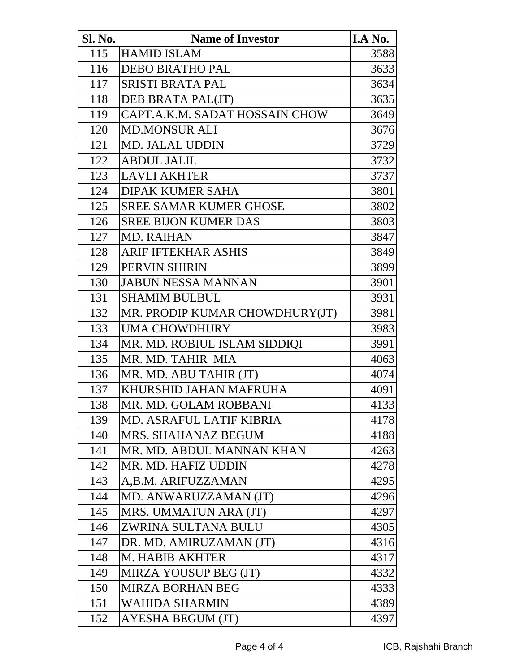| <b>Sl. No.</b> | <b>Name of Investor</b>        | I.A No. |
|----------------|--------------------------------|---------|
| 115            | <b>HAMID ISLAM</b>             | 3588    |
| 116            | <b>DEBO BRATHO PAL</b>         | 3633    |
| 117            | <b>SRISTI BRATA PAL</b>        | 3634    |
| 118            | DEB BRATA PAL(JT)              | 3635    |
| 119            | CAPT.A.K.M. SADAT HOSSAIN CHOW | 3649    |
| 120            | <b>MD.MONSUR ALI</b>           | 3676    |
| 121            | <b>MD. JALAL UDDIN</b>         | 3729    |
| 122            | <b>ABDUL JALIL</b>             | 3732    |
| 123            | <b>LAVLI AKHTER</b>            | 3737    |
| 124            | <b>DIPAK KUMER SAHA</b>        | 3801    |
| 125            | <b>SREE SAMAR KUMER GHOSE</b>  | 3802    |
| 126            | <b>SREE BIJON KUMER DAS</b>    | 3803    |
| 127            | <b>MD. RAIHAN</b>              | 3847    |
| 128            | <b>ARIF IFTEKHAR ASHIS</b>     | 3849    |
| 129            | PERVIN SHIRIN                  | 3899    |
| 130            | <b>JABUN NESSA MANNAN</b>      | 3901    |
| 131            | <b>SHAMIM BULBUL</b>           | 3931    |
| 132            | MR. PRODIP KUMAR CHOWDHURY(JT) | 3981    |
| 133            | <b>UMA CHOWDHURY</b>           | 3983    |
| 134            | MR. MD. ROBIUL ISLAM SIDDIQI   | 3991    |
| 135            | MR. MD. TAHIR MIA              | 4063    |
| 136            | MR. MD. ABU TAHIR (JT)         | 4074    |
| 137            | KHURSHID JAHAN MAFRUHA         | 4091    |
| 138            | MR. MD. GOLAM ROBBANI          | 4133    |
| 139            | MD. ASRAFUL LATIF KIBRIA       | 4178    |
| 140            | MRS. SHAHANAZ BEGUM            | 4188    |
| 141            | MR. MD. ABDUL MANNAN KHAN      | 4263    |
| 142            | MR. MD. HAFIZ UDDIN            | 4278    |
| 143            | A,B.M. ARIFUZZAMAN             | 4295    |
| 144            | MD. ANWARUZZAMAN (JT)          | 4296    |
| 145            | MRS. UMMATUN ARA (JT)          | 4297    |
| 146            | ZWRINA SULTANA BULU            | 4305    |
| 147            | DR. MD. AMIRUZAMAN (JT)        | 4316    |
| 148            | <b>M. HABIB AKHTER</b>         | 4317    |
| 149            | MIRZA YOUSUP BEG (JT)          | 4332    |
| 150            | <b>MIRZA BORHAN BEG</b>        | 4333    |
| 151            | <b>WAHIDA SHARMIN</b>          | 4389    |
| 152            | <b>AYESHA BEGUM (JT)</b>       | 4397    |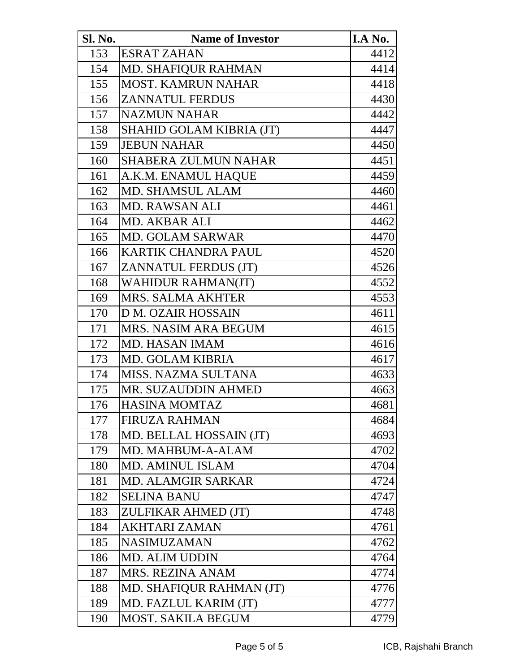| <b>Sl. No.</b> | <b>Name of Investor</b>     | I.A No. |
|----------------|-----------------------------|---------|
| 153            | <b>ESRAT ZAHAN</b>          | 4412    |
| 154            | <b>MD. SHAFIQUR RAHMAN</b>  | 4414    |
| 155            | <b>MOST. KAMRUN NAHAR</b>   | 4418    |
| 156            | <b>ZANNATUL FERDUS</b>      | 4430    |
| 157            | <b>NAZMUN NAHAR</b>         | 4442    |
| 158            | SHAHID GOLAM KIBRIA (JT)    | 4447    |
| 159            | <b>JEBUN NAHAR</b>          | 4450    |
| 160            | <b>SHABERA ZULMUN NAHAR</b> | 4451    |
| 161            | A.K.M. ENAMUL HAQUE         | 4459    |
| 162            | MD. SHAMSUL ALAM            | 4460    |
| 163            | <b>MD. RAWSAN ALI</b>       | 4461    |
| 164            | <b>MD. AKBAR ALI</b>        | 4462    |
| 165            | <b>MD. GOLAM SARWAR</b>     | 4470    |
| 166            | <b>KARTIK CHANDRA PAUL</b>  | 4520    |
| 167            | <b>ZANNATUL FERDUS (JT)</b> | 4526    |
| 168            | <b>WAHIDUR RAHMAN(JT)</b>   | 4552    |
| 169            | <b>MRS. SALMA AKHTER</b>    | 4553    |
| 170            | <b>D M. OZAIR HOSSAIN</b>   | 4611    |
| 171            | <b>MRS. NASIM ARA BEGUM</b> | 4615    |
| 172            | <b>MD. HASAN IMAM</b>       | 4616    |
| 173            | <b>MD. GOLAM KIBRIA</b>     | 4617    |
| 174            | MISS. NAZMA SULTANA         | 4633    |
| 175            | MR. SUZAUDDIN AHMED         | 4663    |
| 176            | <b>HASINA MOMTAZ</b>        | 4681    |
| 177            | <b>FIRUZA RAHMAN</b>        | 4684    |
| 178            | MD. BELLAL HOSSAIN (JT)     | 4693    |
| 179            | MD. MAHBUM-A-ALAM           | 4702    |
| 180            | MD. AMINUL ISLAM            | 4704    |
| 181            | <b>MD. ALAMGIR SARKAR</b>   | 4724    |
| 182            | <b>SELINA BANU</b>          | 4747    |
| 183            | ZULFIKAR AHMED (JT)         | 4748    |
| 184            | <b>AKHTARI ZAMAN</b>        | 4761    |
| 185            | <b>NASIMUZAMAN</b>          | 4762    |
| 186            | <b>MD. ALIM UDDIN</b>       | 4764    |
| 187            | <b>MRS. REZINA ANAM</b>     | 4774    |
| 188            | MD. SHAFIQUR RAHMAN (JT)    | 4776    |
| 189            | MD. FAZLUL KARIM (JT)       | 4777    |
| 190            | <b>MOST. SAKILA BEGUM</b>   | 4779    |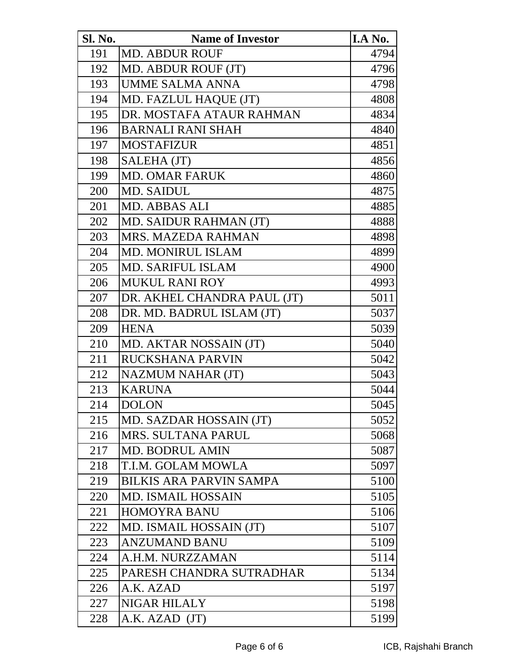| <b>Sl. No.</b> | <b>Name of Investor</b>        | I.A No. |
|----------------|--------------------------------|---------|
| 191            | <b>MD. ABDUR ROUF</b>          | 4794    |
| 192            | MD. ABDUR ROUF (JT)            | 4796    |
| 193            | <b>UMME SALMA ANNA</b>         | 4798    |
| 194            | MD. FAZLUL HAQUE (JT)          | 4808    |
| 195            | DR. MOSTAFA ATAUR RAHMAN       | 4834    |
| 196            | <b>BARNALI RANI SHAH</b>       | 4840    |
| 197            | <b>MOSTAFIZUR</b>              | 4851    |
| 198            | SALEHA (JT)                    | 4856    |
| 199            | <b>MD. OMAR FARUK</b>          | 4860    |
| 200            | MD. SAIDUL                     | 4875    |
| 201            | <b>MD. ABBAS ALI</b>           | 4885    |
| 202            | MD. SAIDUR RAHMAN (JT)         | 4888    |
| 203            | <b>MRS. MAZEDA RAHMAN</b>      | 4898    |
| 204            | <b>MD. MONIRUL ISLAM</b>       | 4899    |
| 205            | <b>MD. SARIFUL ISLAM</b>       | 4900    |
| 206            | <b>MUKUL RANI ROY</b>          | 4993    |
| 207            | DR. AKHEL CHANDRA PAUL (JT)    | 5011    |
| 208            | DR. MD. BADRUL ISLAM (JT)      | 5037    |
| 209            | <b>HENA</b>                    | 5039    |
| 210            | MD. AKTAR NOSSAIN (JT)         | 5040    |
| 211            | RUCKSHANA PARVIN               | 5042    |
| 212            | <b>NAZMUM NAHAR (JT)</b>       | 5043    |
| 213            | <b>KARUNA</b>                  | 5044    |
| 214            | <b>DOLON</b>                   | 5045    |
| 215            | MD. SAZDAR HOSSAIN (JT)        | 5052    |
| 216            | <b>MRS. SULTANA PARUL</b>      | 5068    |
| 217            | <b>MD. BODRUL AMIN</b>         | 5087    |
| 218            | T.I.M. GOLAM MOWLA             | 5097    |
| 219            | <b>BILKIS ARA PARVIN SAMPA</b> | 5100    |
| 220            | <b>MD. ISMAIL HOSSAIN</b>      | 5105    |
| 221            | <b>HOMOYRA BANU</b>            | 5106    |
| 222            | MD. ISMAIL HOSSAIN (JT)        | 5107    |
| 223            | <b>ANZUMAND BANU</b>           | 5109    |
| 224            | A.H.M. NURZZAMAN               | 5114    |
| 225            | PARESH CHANDRA SUTRADHAR       | 5134    |
| 226            | A.K. AZAD                      | 5197    |
| 227            | <b>NIGAR HILALY</b>            | 5198    |
| 228            | A.K. AZAD (JT)                 | 5199    |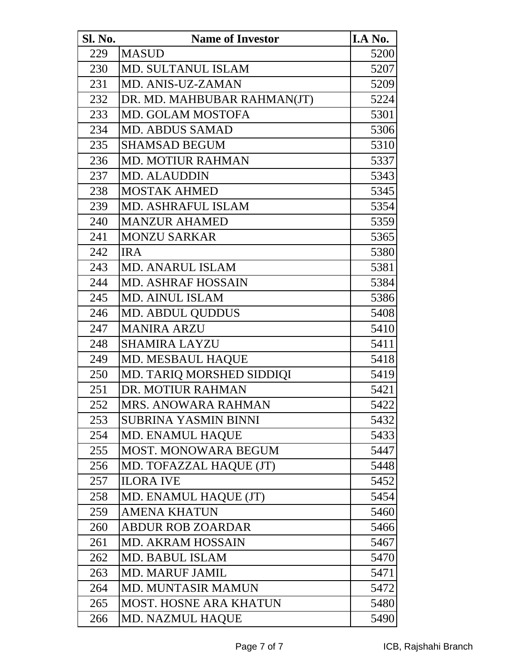| <b>Sl. No.</b> | <b>Name of Investor</b>       | I.A No. |
|----------------|-------------------------------|---------|
| 229            | <b>MASUD</b>                  | 5200    |
| 230            | <b>MD. SULTANUL ISLAM</b>     | 5207    |
| 231            | MD. ANIS-UZ-ZAMAN             | 5209    |
| 232            | DR. MD. MAHBUBAR RAHMAN(JT)   | 5224    |
| 233            | <b>MD. GOLAM MOSTOFA</b>      | 5301    |
| 234            | <b>MD. ABDUS SAMAD</b>        | 5306    |
| 235            | <b>SHAMSAD BEGUM</b>          | 5310    |
| 236            | <b>MD. MOTIUR RAHMAN</b>      | 5337    |
| 237            | <b>MD. ALAUDDIN</b>           | 5343    |
| 238            | <b>MOSTAK AHMED</b>           | 5345    |
| 239            | <b>MD. ASHRAFUL ISLAM</b>     | 5354    |
| 240            | <b>MANZUR AHAMED</b>          | 5359    |
| 241            | <b>MONZU SARKAR</b>           | 5365    |
| 242            | <b>IRA</b>                    | 5380    |
| 243            | <b>MD. ANARUL ISLAM</b>       | 5381    |
| 244            | <b>MD. ASHRAF HOSSAIN</b>     | 5384    |
| 245            | <b>MD. AINUL ISLAM</b>        | 5386    |
| 246            | <b>MD. ABDUL QUDDUS</b>       | 5408    |
| 247            | <b>MANIRA ARZU</b>            | 5410    |
| 248            | <b>SHAMIRA LAYZU</b>          | 5411    |
| 249            | <b>MD. MESBAUL HAQUE</b>      | 5418    |
| 250            | MD. TARIQ MORSHED SIDDIQI     | 5419    |
| 251            | DR. MOTIUR RAHMAN             | 5421    |
| 252            | MRS. ANOWARA RAHMAN           | 5422    |
| 253            | <b>SUBRINA YASMIN BINNI</b>   | 5432    |
| 254            | MD. ENAMUL HAQUE              | 5433    |
| 255            | <b>MOST. MONOWARA BEGUM</b>   | 5447    |
| 256            | MD. TOFAZZAL HAQUE (JT)       | 5448    |
| 257            | <b>ILORA IVE</b>              | 5452    |
| 258            | MD. ENAMUL HAQUE (JT)         | 5454    |
| 259            | <b>AMENA KHATUN</b>           | 5460    |
| 260            | <b>ABDUR ROB ZOARDAR</b>      | 5466    |
| 261            | <b>MD. AKRAM HOSSAIN</b>      | 5467    |
| 262            | <b>MD. BABUL ISLAM</b>        | 5470    |
| 263            | <b>MD. MARUF JAMIL</b>        | 5471    |
| 264            | MD. MUNTASIR MAMUN            | 5472    |
| 265            | <b>MOST. HOSNE ARA KHATUN</b> | 5480    |
| 266            | <b>MD. NAZMUL HAQUE</b>       | 5490    |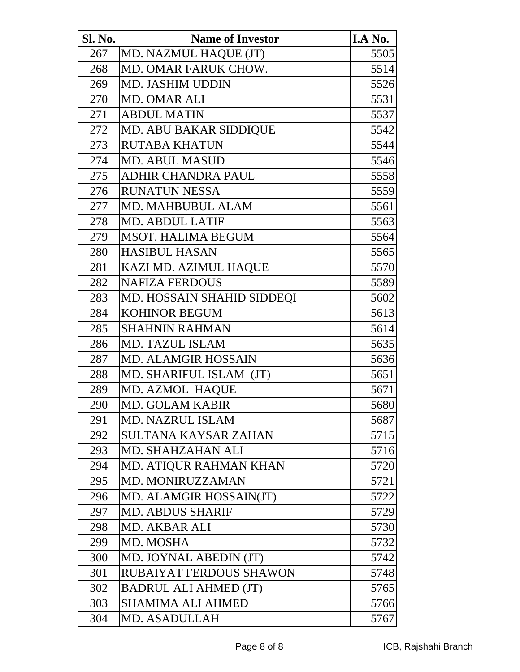| Sl. No. | <b>Name of Investor</b>       | I.A No. |
|---------|-------------------------------|---------|
| 267     | MD. NAZMUL HAQUE (JT)         | 5505    |
| 268     | MD. OMAR FARUK CHOW.          | 5514    |
| 269     | <b>MD. JASHIM UDDIN</b>       | 5526    |
| 270     | <b>MD. OMAR ALI</b>           | 5531    |
| 271     | <b>ABDUL MATIN</b>            | 5537    |
| 272     | <b>MD. ABU BAKAR SIDDIQUE</b> | 5542    |
| 273     | <b>RUTABA KHATUN</b>          | 5544    |
| 274     | <b>MD. ABUL MASUD</b>         | 5546    |
| 275     | <b>ADHIR CHANDRA PAUL</b>     | 5558    |
| 276     | <b>RUNATUN NESSA</b>          | 5559    |
| 277     | <b>MD. MAHBUBUL ALAM</b>      | 5561    |
| 278     | <b>MD. ABDUL LATIF</b>        | 5563    |
| 279     | <b>MSOT. HALIMA BEGUM</b>     | 5564    |
| 280     | <b>HASIBUL HASAN</b>          | 5565    |
| 281     | KAZI MD. AZIMUL HAQUE         | 5570    |
| 282     | <b>NAFIZA FERDOUS</b>         | 5589    |
| 283     | MD. HOSSAIN SHAHID SIDDEQI    | 5602    |
| 284     | <b>KOHINOR BEGUM</b>          | 5613    |
| 285     | <b>SHAHNIN RAHMAN</b>         | 5614    |
| 286     | <b>MD. TAZUL ISLAM</b>        | 5635    |
| 287     | <b>MD. ALAMGIR HOSSAIN</b>    | 5636    |
| 288     | MD. SHARIFUL ISLAM (JT)       | 5651    |
| 289     | MD. AZMOL HAQUE               | 5671    |
| 290     | <b>MD. GOLAM KABIR</b>        | 5680    |
| 291     | <b>MD. NAZRUL ISLAM</b>       | 5687    |
| 292     | <b>SULTANA KAYSAR ZAHAN</b>   | 5715    |
| 293     | <b>MD. SHAHZAHAN ALI</b>      | 5716    |
| 294     | MD. ATIQUR RAHMAN KHAN        | 5720    |
| 295     | MD. MONIRUZZAMAN              | 5721    |
| 296     | MD. ALAMGIR HOSSAIN(JT)       | 5722    |
| 297     | <b>MD. ABDUS SHARIF</b>       | 5729    |
| 298     | MD. AKBAR ALI                 | 5730    |
| 299     | MD. MOSHA                     | 5732    |
| 300     | MD. JOYNAL ABEDIN (JT)        | 5742    |
| 301     | RUBAIYAT FERDOUS SHAWON       | 5748    |
| 302     | <b>BADRUL ALI AHMED (JT)</b>  | 5765    |
| 303     | SHAMIMA ALI AHMED             | 5766    |
| 304     | MD. ASADULLAH                 | 5767    |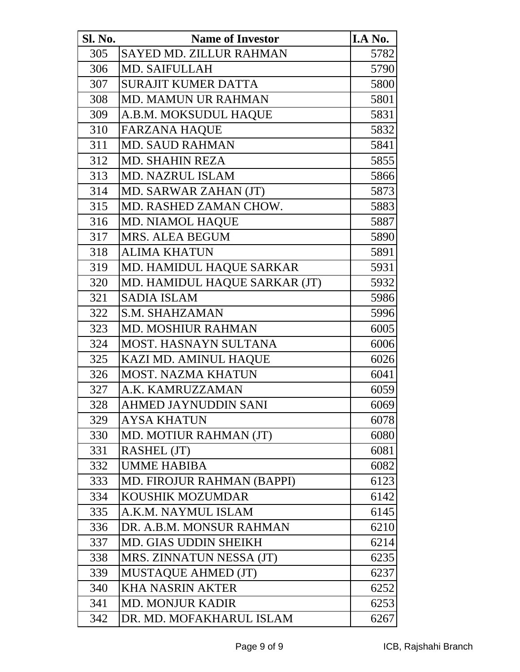| Sl. No. | <b>Name of Investor</b>       | I.A No. |
|---------|-------------------------------|---------|
| 305     | SAYED MD. ZILLUR RAHMAN       | 5782    |
| 306     | <b>MD. SAIFULLAH</b>          | 5790    |
| 307     | <b>SURAJIT KUMER DATTA</b>    | 5800    |
| 308     | <b>MD. MAMUN UR RAHMAN</b>    | 5801    |
| 309     | A.B.M. MOKSUDUL HAQUE         | 5831    |
| 310     | <b>FARZANA HAQUE</b>          | 5832    |
| 311     | <b>MD. SAUD RAHMAN</b>        | 5841    |
| 312     | <b>MD. SHAHIN REZA</b>        | 5855    |
| 313     | <b>MD. NAZRUL ISLAM</b>       | 5866    |
| 314     | MD. SARWAR ZAHAN (JT)         | 5873    |
| 315     | MD. RASHED ZAMAN CHOW.        | 5883    |
| 316     | MD. NIAMOL HAQUE              | 5887    |
| 317     | <b>MRS. ALEA BEGUM</b>        | 5890    |
| 318     | <b>ALIMA KHATUN</b>           | 5891    |
| 319     | MD. HAMIDUL HAQUE SARKAR      | 5931    |
| 320     | MD. HAMIDUL HAQUE SARKAR (JT) | 5932    |
| 321     | <b>SADIA ISLAM</b>            | 5986    |
| 322     | <b>S.M. SHAHZAMAN</b>         | 5996    |
| 323     | <b>MD. MOSHIUR RAHMAN</b>     | 6005    |
| 324     | <b>MOST. HASNAYN SULTANA</b>  | 6006    |
| 325     | KAZI MD. AMINUL HAQUE         | 6026    |
| 326     | <b>MOST. NAZMA KHATUN</b>     | 6041    |
| 327     | A.K. KAMRUZZAMAN              | 6059    |
| 328     | AHMED JAYNUDDIN SANI          | 6069    |
| 329     | <b>AYSA KHATUN</b>            | 6078    |
| 330     | MD. MOTIUR RAHMAN (JT)        | 6080    |
| 331     | RASHEL (JT)                   | 6081    |
| 332     | <b>UMME HABIBA</b>            | 6082    |
| 333     | MD. FIROJUR RAHMAN (BAPPI)    | 6123    |
| 334     | <b>KOUSHIK MOZUMDAR</b>       | 6142    |
| 335     | A.K.M. NAYMUL ISLAM           | 6145    |
| 336     | DR. A.B.M. MONSUR RAHMAN      | 6210    |
| 337     | <b>MD. GIAS UDDIN SHEIKH</b>  | 6214    |
| 338     | MRS. ZINNATUN NESSA (JT)      | 6235    |
| 339     | <b>MUSTAQUE AHMED (JT)</b>    | 6237    |
| 340     | <b>KHA NASRIN AKTER</b>       | 6252    |
| 341     | <b>MD. MONJUR KADIR</b>       | 6253    |
| 342     | DR. MD. MOFAKHARUL ISLAM      | 6267    |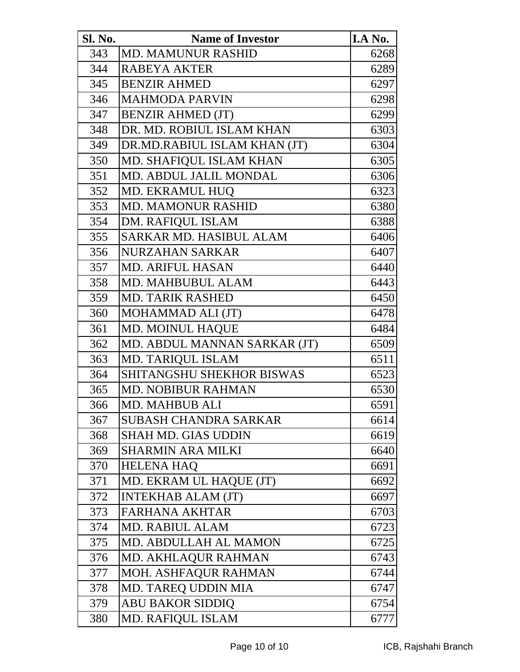| <b>Sl. No.</b> | <b>Name of Investor</b>      | I.A No. |
|----------------|------------------------------|---------|
| 343            | <b>MD. MAMUNUR RASHID</b>    | 6268    |
| 344            | <b>RABEYA AKTER</b>          | 6289    |
| 345            | <b>BENZIR AHMED</b>          | 6297    |
| 346            | <b>MAHMODA PARVIN</b>        | 6298    |
| 347            | <b>BENZIR AHMED (JT)</b>     | 6299    |
| 348            | DR. MD. ROBIUL ISLAM KHAN    | 6303    |
| 349            | DR.MD.RABIUL ISLAM KHAN (JT) | 6304    |
| 350            | MD. SHAFIQUL ISLAM KHAN      | 6305    |
| 351            | MD. ABDUL JALIL MONDAL       | 6306    |
| 352            | <b>MD. EKRAMUL HUQ</b>       | 6323    |
| 353            | <b>MD. MAMONUR RASHID</b>    | 6380    |
| 354            | <b>DM. RAFIQUL ISLAM</b>     | 6388    |
| 355            | SARKAR MD. HASIBUL ALAM      | 6406    |
| 356            | <b>NURZAHAN SARKAR</b>       | 6407    |
| 357            | <b>MD. ARIFUL HASAN</b>      | 6440    |
| 358            | <b>MD. MAHBUBUL ALAM</b>     | 6443    |
| 359            | <b>MD. TARIK RASHED</b>      | 6450    |
| 360            | MOHAMMAD ALI (JT)            | 6478    |
| 361            | <b>MD. MOINUL HAQUE</b>      | 6484    |
| 362            | MD. ABDUL MANNAN SARKAR (JT) | 6509    |
| 363            | MD. TARIQUL ISLAM            | 6511    |
| 364            | SHITANGSHU SHEKHOR BISWAS    | 6523    |
| 365            | <b>MD. NOBIBUR RAHMAN</b>    | 6530    |
| 366            | MD. MAHBUB ALI               | 6591    |
| 367            | <b>SUBASH CHANDRA SARKAR</b> | 6614    |
| 368            | SHAH MD. GIAS UDDIN          | 6619    |
| 369            | <b>SHARMIN ARA MILKI</b>     | 6640    |
| 370            | <b>HELENA HAQ</b>            | 6691    |
| 371            | MD. EKRAM UL HAQUE (JT)      | 6692    |
| 372            | <b>INTEKHAB ALAM (JT)</b>    | 6697    |
| 373            | <b>FARHANA AKHTAR</b>        | 6703    |
| 374            | <b>MD. RABIUL ALAM</b>       | 6723    |
| 375            | <b>MD. ABDULLAH AL MAMON</b> | 6725    |
| 376            | <b>MD. AKHLAQUR RAHMAN</b>   | 6743    |
| 377            | MOH. ASHFAQUR RAHMAN         | 6744    |
| 378            | <b>MD. TAREQ UDDIN MIA</b>   | 6747    |
| 379            | <b>ABU BAKOR SIDDIQ</b>      | 6754    |
| 380            | <b>MD. RAFIQUL ISLAM</b>     | 6777    |